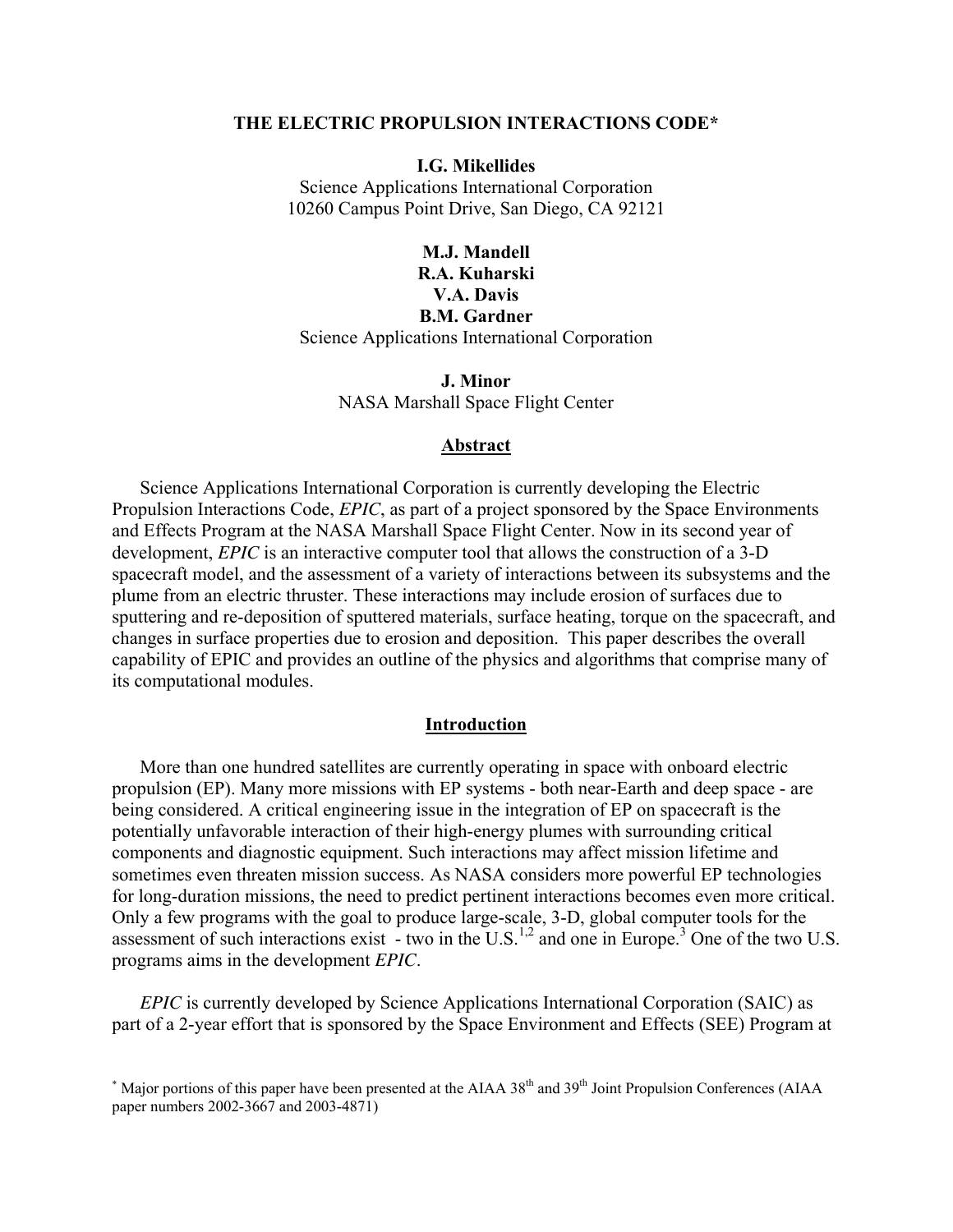#### **THE ELECTRIC PROPULSION INTERACTIONS CODE\***

#### **I.G. Mikellides**

Science Applications International Corporation 10260 Campus Point Drive, San Diego, CA 92121

## **M.J. Mandell R.A. Kuharski V.A. Davis B.M. Gardner**  Science Applications International Corporation

**J. Minor**  NASA Marshall Space Flight Center

#### **Abstract**

Science Applications International Corporation is currently developing the Electric Propulsion Interactions Code, *EPIC*, as part of a project sponsored by the Space Environments and Effects Program at the NASA Marshall Space Flight Center. Now in its second year of development, *EPIC* is an interactive computer tool that allows the construction of a 3-D spacecraft model, and the assessment of a variety of interactions between its subsystems and the plume from an electric thruster. These interactions may include erosion of surfaces due to sputtering and re-deposition of sputtered materials, surface heating, torque on the spacecraft, and changes in surface properties due to erosion and deposition. This paper describes the overall capability of EPIC and provides an outline of the physics and algorithms that comprise many of its computational modules.

### <span id="page-0-0"></span>**Introduction**

More than one hundred satellites are currently operating in space with onboard electric propulsion (EP). Many more missions with EP systems - both near-Earth and deep space - are being considered. A critical engineering issue in the integration of EP on spacecraft is the potentially unfavorable interaction of their high-energy plumes with surrounding critical components and diagnostic equipment. Such interactions may affect mission lifetime and sometimes even threaten mission success. As NASA considers more powerful EP technologies for long-duration missions, the need to predict pertinent interactions becomes even more critical. Only a few programs with the goal to produce large-scale, 3-D, global computer tools for the assessment of such interactions exist  $\overline{\phantom{a}}$  - two in the U.S.<sup>1,2</sup> and one in Europe.<sup>3</sup> [O](#page-18-0)ne of the two U.S. programs aims in the development *EPIC*.

*EPIC* is currently developed by Science Applications International Corporation (SAIC) as part of a 2-year effort that is sponsored by the Space Environment and Effects (SEE) Program at

<sup>\*</sup> Major portions of this paper have been presented at the AIAA 38<sup>th</sup> and 39<sup>th</sup> Joint Propulsion Conferences (AIAA paper numbers 2002-3667 and 2003-4871)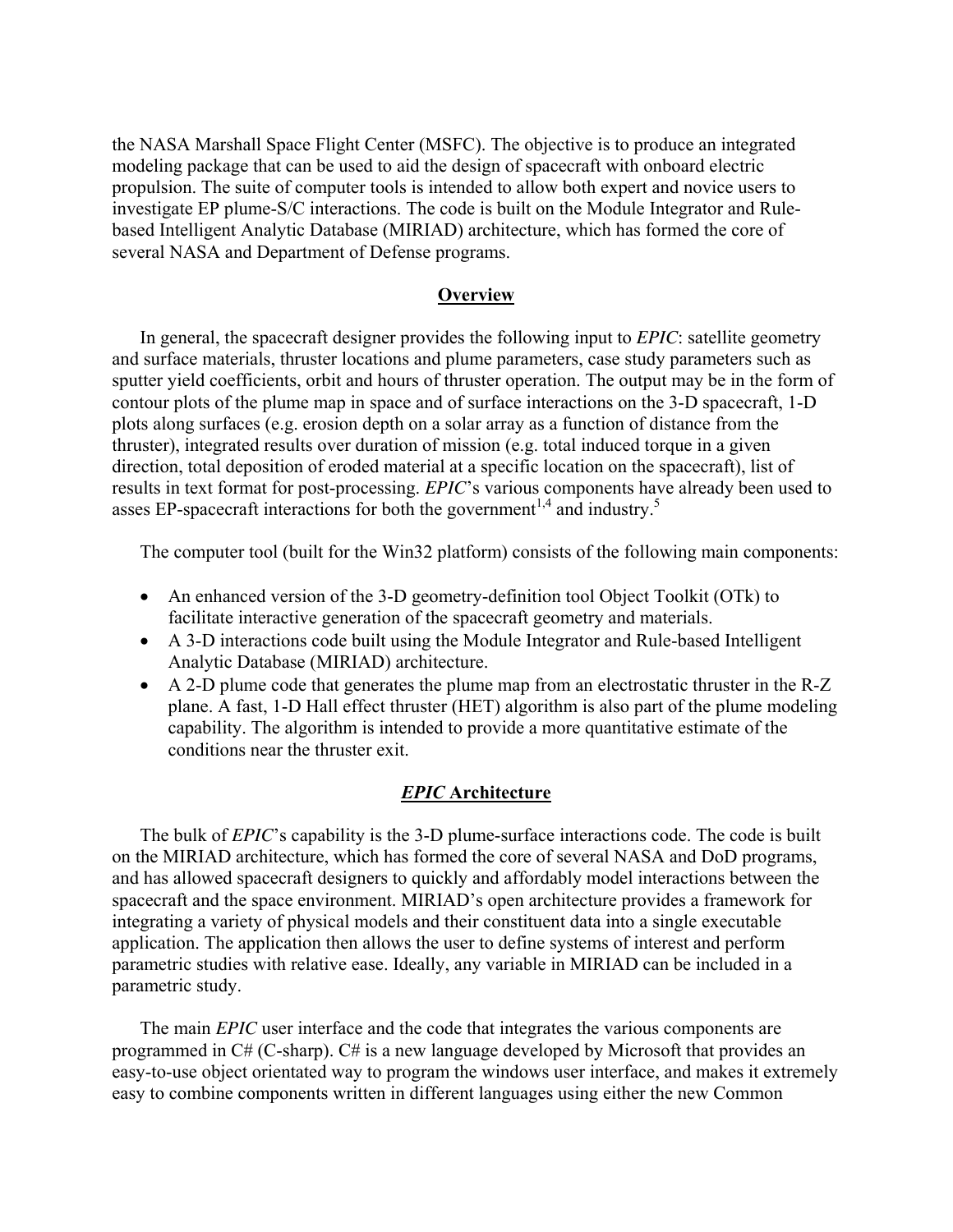the NASA Marshall Space Flight Center (MSFC). The objective is to produce an integrated modeling package that can be used to aid the design of spacecraft with onboard electric propulsion. The suite of computer tools is intended to allow both expert and novice users to investigate EP plume-S/C interactions. The code is built on the Module Integrator and Rulebased Intelligent Analytic Database (MIRIAD) architecture, which has formed the core of several NASA and Department of Defense programs.

## <span id="page-1-0"></span>**Overview**

In general, the spacecraft designer provides the following input to *EPIC*: satellite geometry and surface materials, thruster locations and plume parameters, case study parameters such as sputter yield coefficients, orbit and hours of thruster operation. The output may be in the form of contour plots of the plume map in space and of surface interactions on the 3-D spacecraft, 1-D plots along surfaces (e.g. erosion depth on a solar array as a function of distance from the thruster), integrated results over duration of mission (e.g. total induced torque in a given direction, total deposition of eroded material at a specific location on the spacecraft), list of results in text format for post-processing. *EPIC*'s various components have already been used to asses EP-spacecraft interactions for both the government<sup>[1,](#page-0-0)4</sup> and industry.<sup>[5](#page-18-2)</sup>

The computer tool (built for the Win32 platform) consists of the following main components:

- An enhanced version of the 3-D geometry-definition tool Object Toolkit (OTk) to facilitate interactive generation of the spacecraft geometry and materials.
- A 3-D interactions code built using the Module Integrator and Rule-based Intelligent Analytic Database (MIRIAD) architecture.
- A 2-D plume code that generates the plume map from an electrostatic thruster in the R-Z plane. A fast, 1-D Hall effect thruster (HET) algorithm is also part of the plume modeling capability. The algorithm is intended to provide a more quantitative estimate of the conditions near the thruster exit.

### *EPIC* **Architecture**

The bulk of *EPIC*'s capability is the 3-D plume-surface interactions code. The code is built on the MIRIAD architecture, which has formed the core of several NASA and DoD programs, and has allowed spacecraft designers to quickly and affordably model interactions between the spacecraft and the space environment. MIRIAD's open architecture provides a framework for integrating a variety of physical models and their constituent data into a single executable application. The application then allows the user to define systems of interest and perform parametric studies with relative ease. Ideally, any variable in MIRIAD can be included in a parametric study.

The main *EPIC* user interface and the code that integrates the various components are programmed in C# (C-sharp). C# is a new language developed by Microsoft that provides an easy-to-use object orientated way to program the windows user interface, and makes it extremely easy to combine components written in different languages using either the new Common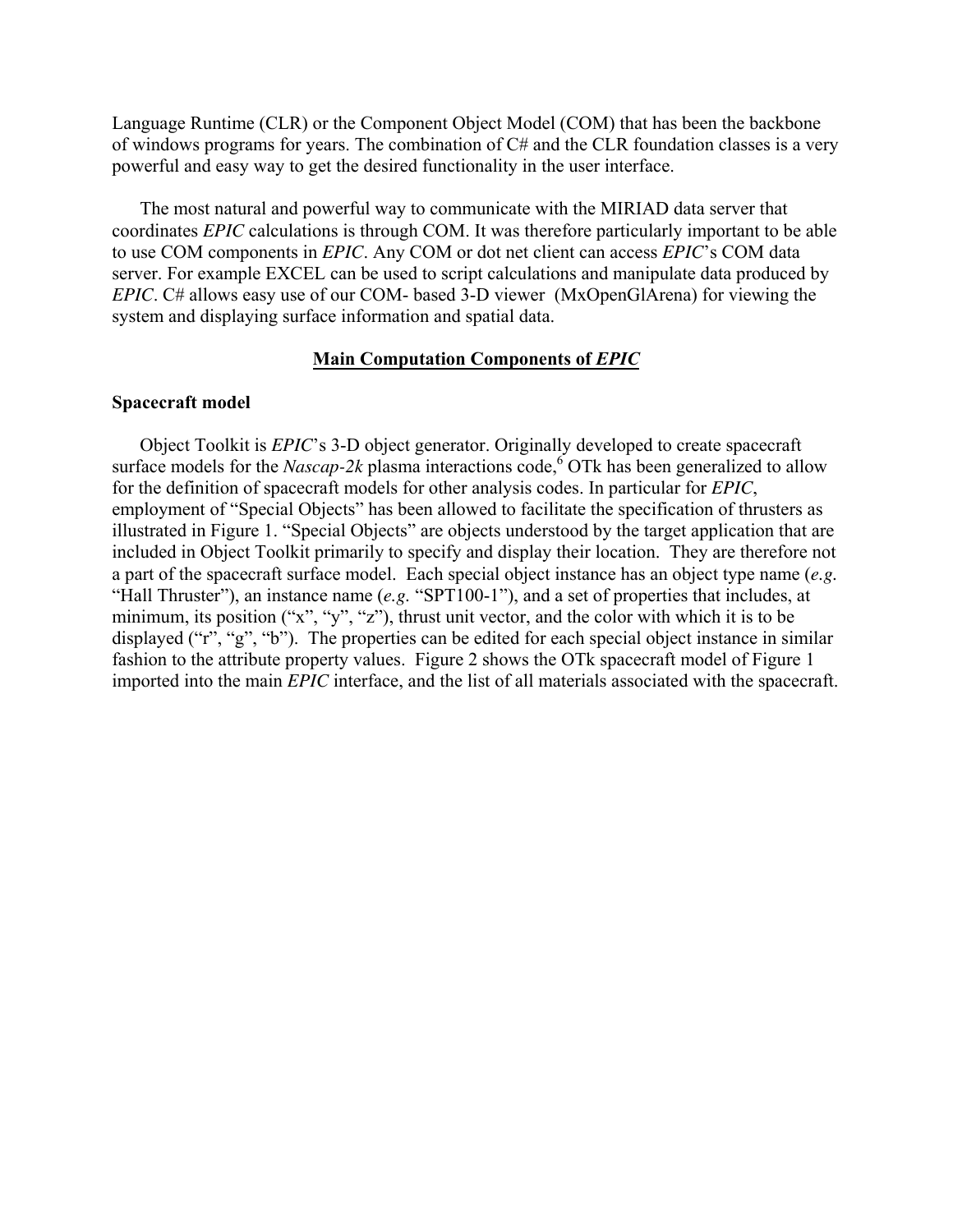Language Runtime (CLR) or the Component Object Model (COM) that has been the backbone of windows programs for years. The combination of C# and the CLR foundation classes is a very powerful and easy way to get the desired functionality in the user interface.

The most natural and powerful way to communicate with the MIRIAD data server that coordinates *EPIC* calculations is through COM. It was therefore particularly important to be able to use COM components in *EPIC*. Any COM or dot net client can access *EPIC*'s COM data server. For example EXCEL can be used to script calculations and manipulate data produced by *EPIC*. C# allows easy use of our COM- based 3-D viewer (MxOpenGlArena) for viewing the system and displaying surface information and spatial data.

## **Main Computation Components of** *EPIC*

### **Spacecraft model**

Object Toolkit is *EPIC*'s 3-D object generator. Originally developed to create spacecraft surface models for the *Nascap-2k* plasma interactions code,<sup>[6](#page-18-3)</sup> OTk has been generalized to allow for the definition of spacecraft models for other analysis codes. In particular for *EPIC*, employment of "Special Objects" has been allowed to facilitate the specification of thrusters as illustrated in Figure 1. "Special Objects" are objects understood by the target application that are included in Object Toolkit primarily to specify and display their location. They are therefore not a part of the spacecraft surface model. Each special object instance has an object type name (*e.g.*  "Hall Thruster"), an instance name (*e.g.* "SPT100-1"), and a set of properties that includes, at minimum, its position ("x", "y", "z"), thrust unit vector, and the color with which it is to be displayed ("r", "g", "b"). The properties can be edited for each special object instance in similar fashion to the attribute property values. Figure 2 shows the OTk spacecraft model of Figure 1 imported into the main *EPIC* interface, and the list of all materials associated with the spacecraft.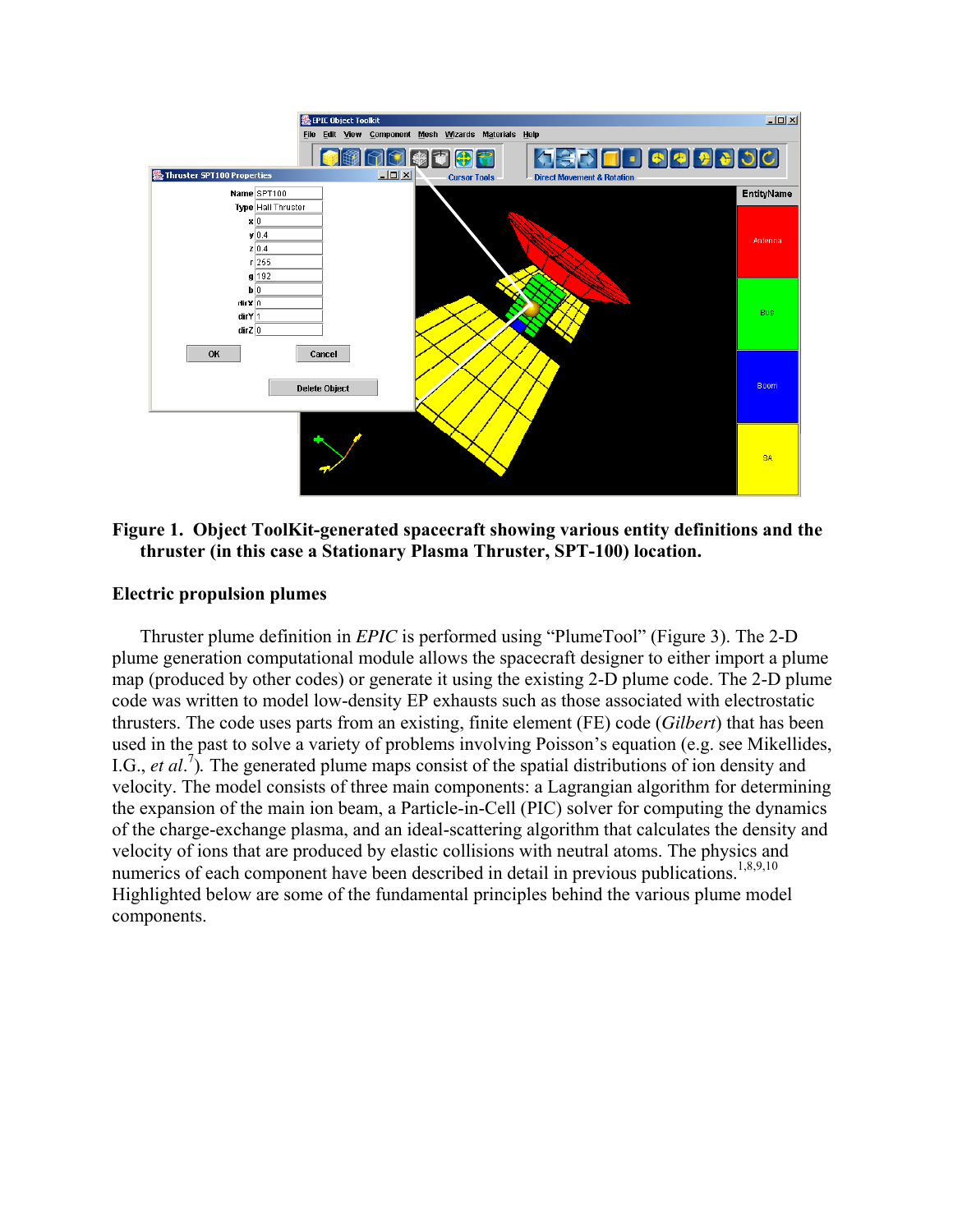

## **Figure 1. Object ToolKit-generated spacecraft showing various entity definitions and the thruster (in this case a Stationary Plasma Thruster, SPT-100) location.**

### **Electric propulsion plumes**

<span id="page-3-2"></span><span id="page-3-1"></span><span id="page-3-0"></span>Thruster plume definition in *EPIC* is performed using "PlumeTool" (Figure 3). The 2-D plume generation computational module allows the spacecraft designer to either import a plume map (produced by other codes) or generate it using the existing 2-D plume code. The 2-D plume code was written to model low-density EP exhausts such as those associated with electrostatic thrusters. The code uses parts from an existing, finite element (FE) code (*Gilbert*) that has been used in the past to solve a variety of problems involving Poisson's equation (e.g. see Mikellides, I.G., *et al.*<sup>[7](#page-18-4)</sup>). The generated plume maps consist of the spatial distributions of ion density and velocity. The model consists of three main components: a Lagrangian algorithm for determining the expansion of the main ion beam, a Particle-in-Cell (PIC) solver for computing the dynamics of the charge-exchange plasma, and an ideal-scattering algorithm that calculates the density and velocity of ions that are produced by elastic collisions with neutral atoms. The physics and numerics of each component have been described in detail in previous publications.<sup>1,[8,9,](#page-18-5)10</sup> Highlighted below are some of the fundamental principles behind the various plume model components.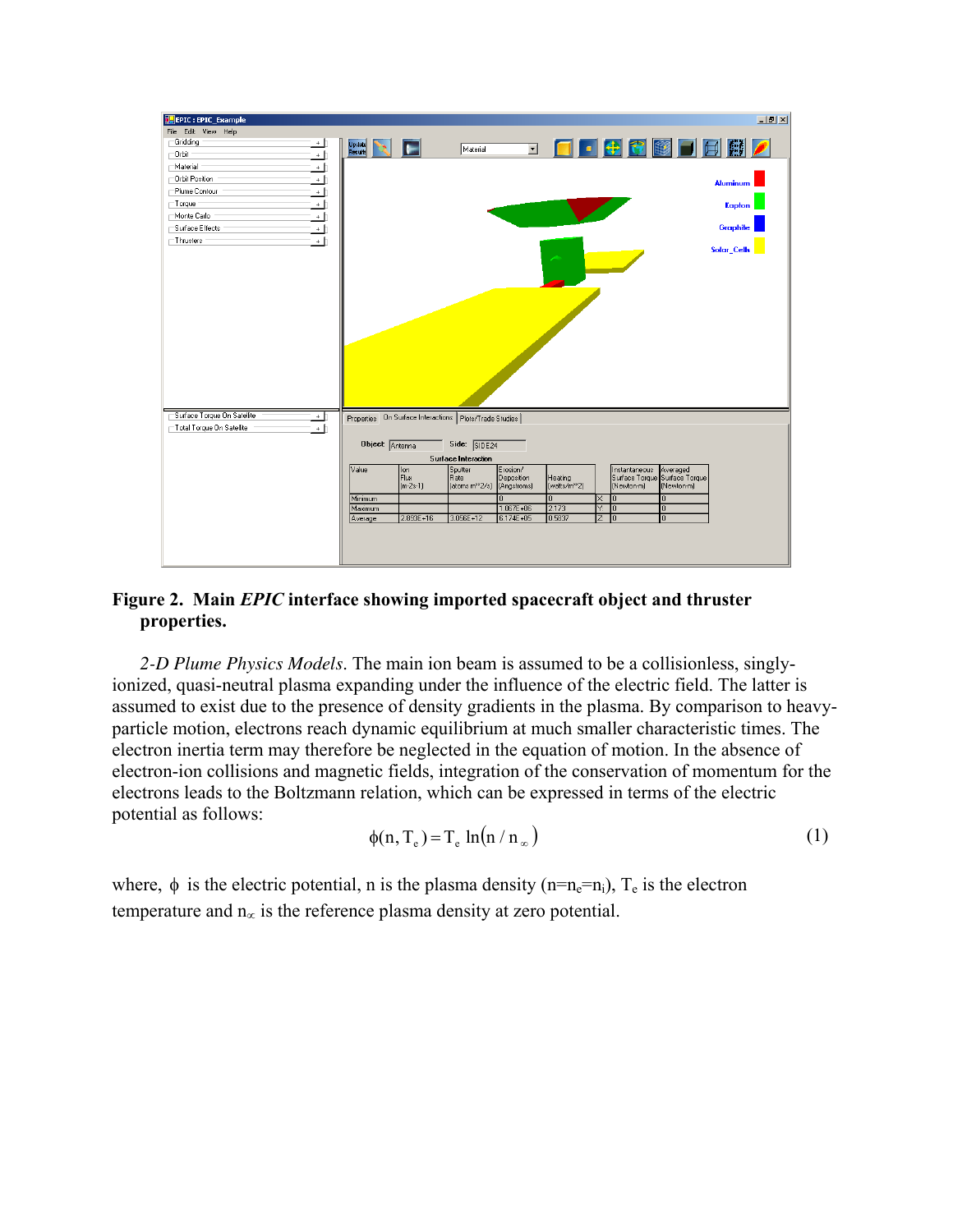

# **Figure 2. Main** *EPIC* **interface showing imported spacecraft object and thruster properties.**

*2-D Plume Physics Models*. The main ion beam is assumed to be a collisionless, singlyionized, quasi-neutral plasma expanding under the influence of the electric field. The latter is assumed to exist due to the presence of density gradients in the plasma. By comparison to heavyparticle motion, electrons reach dynamic equilibrium at much smaller characteristic times. The electron inertia term may therefore be neglected in the equation of motion. In the absence of electron-ion collisions and magnetic fields, integration of the conservation of momentum for the electrons leads to the Boltzmann relation, which can be expressed in terms of the electric potential as follows:

$$
\phi(n, T_e) = T_e \ln(n / n_\infty) \tag{1}
$$

where,  $\phi$  is the electric potential, n is the plasma density (n=n<sub>e</sub>=n<sub>i</sub>), T<sub>e</sub> is the electron temperature and  $n_{\infty}$  is the reference plasma density at zero potential.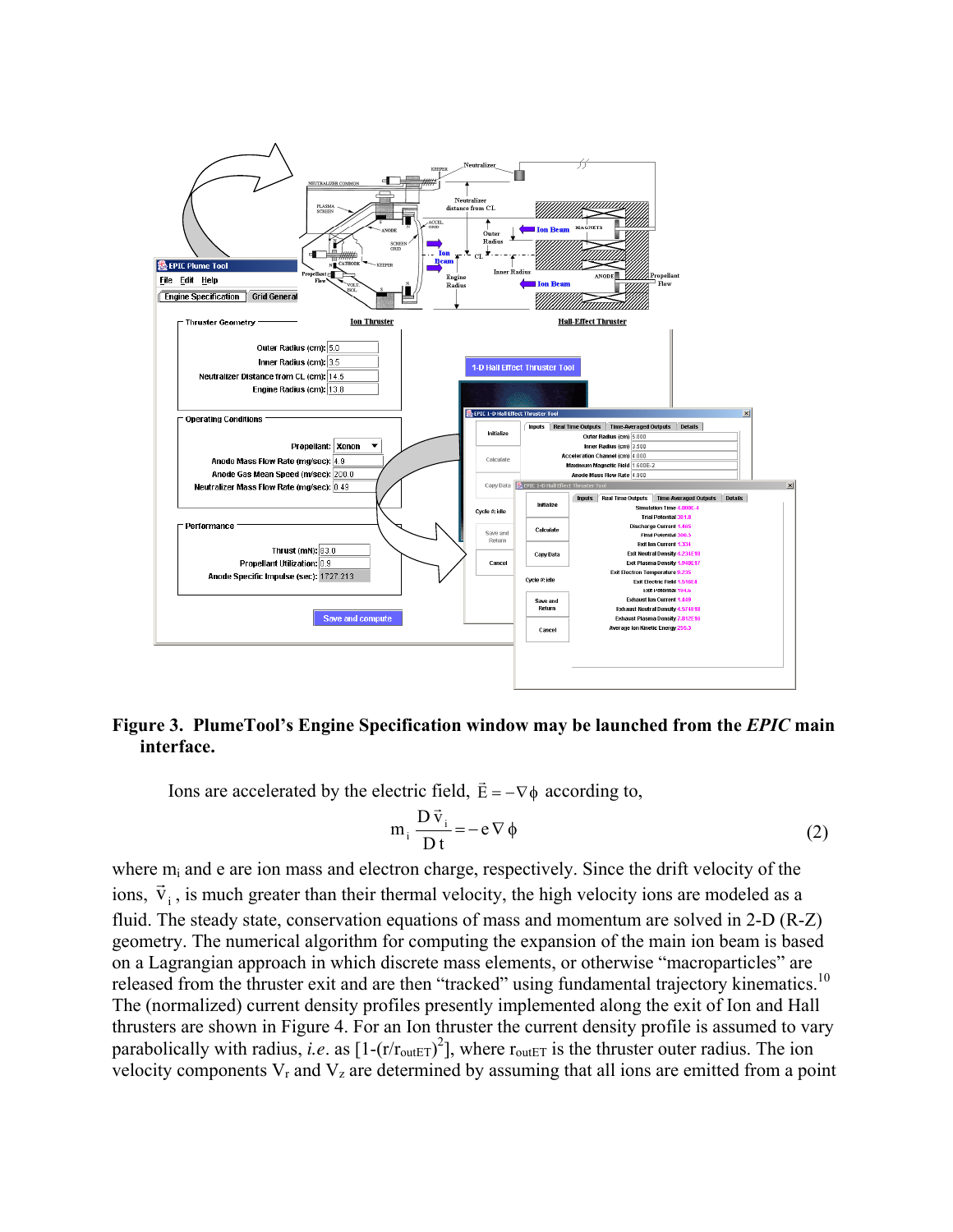

## **Figure 3. PlumeTool's Engine Specification window may be launched from the** *EPIC* **main interface.**

Ions are accelerated by the electric field,  $\vec{E} = -\nabla \phi$  according to,

$$
m_i \frac{D \vec{v}_i}{Dt} = -e \nabla \phi
$$
 (2)

where  $m_i$  and e are ion mass and electron charge, respectively. Since the drift velocity of the ions,  $\vec{v}_i$ , is much greater than their thermal velocity, the high velocity ions are modeled as a fluid. The steady state, conservation equations of mass and momentum are solved in 2-D (R-Z) geometry. The numerical algorithm for computing the expansion of the main ion beam is based on a Lagrangian approach in which discrete mass elements, or otherwise "macroparticles" are released from the thruster exit and are then "tracked" using fundamental trajectory kinematics.<sup>10</sup> The (normalized) current density profiles presently implemented along the exit of Ion and Hall thrusters are shown in [Figure 4.](#page-6-0) For an Ion thruster the current density profile is assumed to vary parabolically with radius, *i.e.* as  $[1-(r/r_{\text{outET}})^2]$ , where  $r_{\text{outET}}$  is the thruster outer radius. The ion velocity components  $V_r$  and  $V_z$  are determined by assuming that all ions are emitted from a point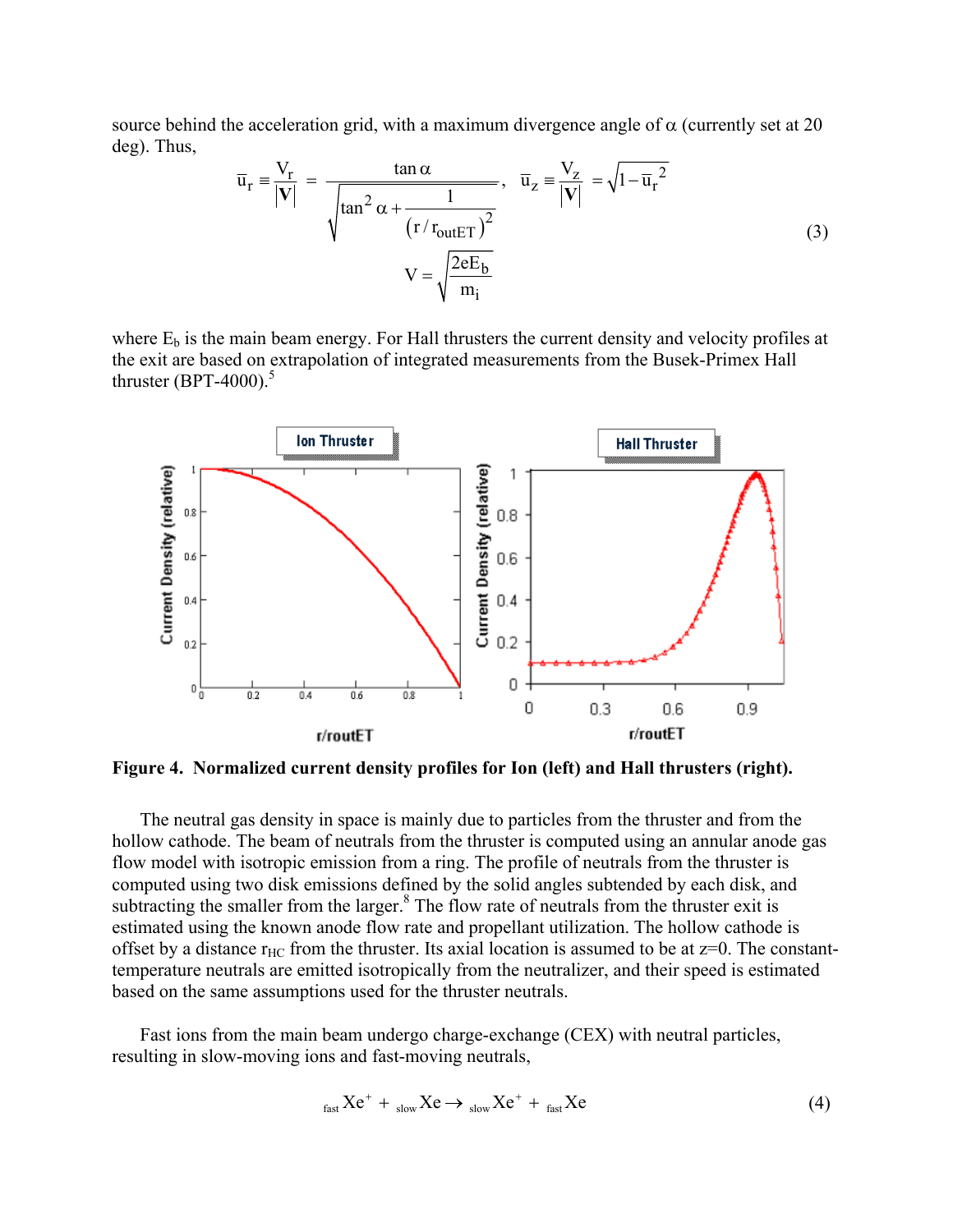source behind the acceleration grid, with a maximum divergence angle of  $\alpha$  (currently set at 20) deg). Thus,

$$
\overline{u}_{r} \equiv \frac{V_{r}}{|V|} = \frac{\tan \alpha}{\sqrt{\tan^{2} \alpha + \frac{1}{(r/r_{\text{outET}})^{2}}}}, \quad \overline{u}_{z} \equiv \frac{V_{z}}{|V|} = \sqrt{1 - \overline{u}_{r}^{2}}
$$
\n
$$
V = \sqrt{\frac{2eE_{b}}{m_{i}}}
$$
\n(3)

where  $E_b$  is the main beam energy. For Hall thrusters the current density and velocity profiles at the exit are based on extrapolation of integrated measurements from the Busek-Primex Hall thruster  $(BPT-4000)$ .<sup>[5](#page-1-0)</sup>

<span id="page-6-0"></span>

**Figure 4. Normalized current density profiles for Ion (left) and Hall thrusters (right).** 

The neutral gas density in space is mainly due to particles from the thruster and from the hollow cathode. The beam of neutrals from the thruster is computed using an annular anode gas flow model with isotropic emission from a ring. The profile of neutrals from the thruster is computed using two disk emissions defined by the solid angles subtended by each disk, and subtracting the smaller from the larger. $8$  The flow rate of neutrals from the thruster exit is estimated using the known anode flow rate and propellant utilization. The hollow cathode is offset by a distance  $r_{HC}$  from the thruster. Its axial location is assumed to be at  $z=0$ . The constanttemperature neutrals are emitted isotropically from the neutralizer, and their speed is estimated based on the same assumptions used for the thruster neutrals.

Fast ions from the main beam undergo charge-exchange (CEX) with neutral particles, resulting in slow-moving ions and fast-moving neutrals,

$$
f_{\text{fast}} X e^+ + \, f_{\text{slow}} X e \to f_{\text{slow}} X e^+ + \, f_{\text{fast}} X e \tag{4}
$$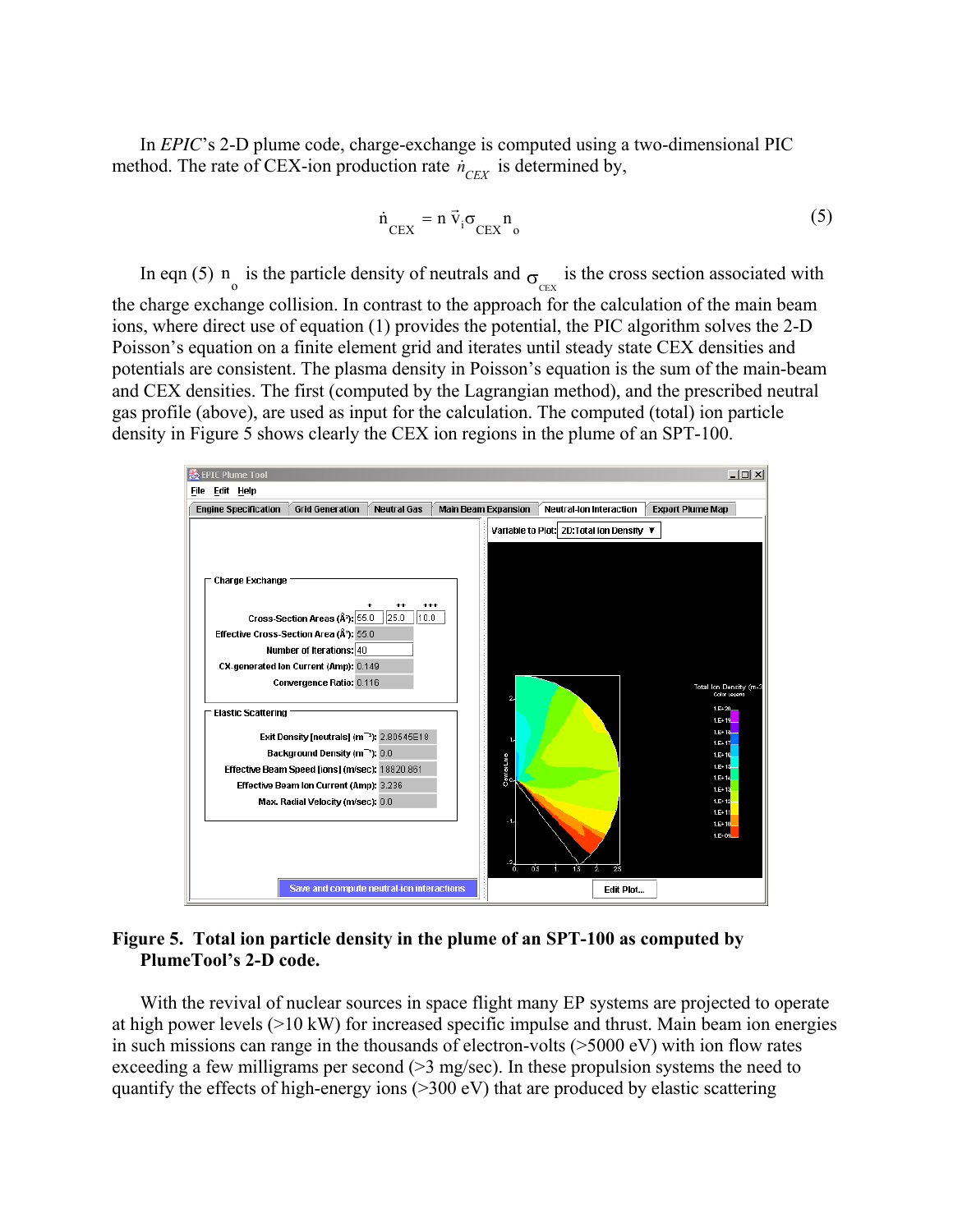In *EPIC*'s 2-D plume code, charge-exchange is computed using a two-dimensional PIC method. The rate of CEX-ion production rate  $\dot{n}_{CEX}$  is determined by,

$$
\dot{n}_{\text{CEX}} = n \vec{v}_i \sigma_{\text{CEX}} n_0 \tag{5}
$$

In eqn (5)  $n_o$  is the particle density of neutrals and  $\sigma_{CEX}$  is the cross section associated with the charge exchange collision. In contrast to the approach for the calculation of the main beam ions, where direct use of equation (1) provides the potential, the PIC algorithm solves the 2-D Poisson's equation on a finite element grid and iterates until steady state CEX densities and potentials are consistent. The plasma density in Poisson's equation is the sum of the main-beam and CEX densities. The first (computed by the Lagrangian method), and the prescribed neutral gas profile (above), are used as input for the calculation. The computed (total) ion particle density in Figure 5 shows clearly the CEX ion regions in the plume of an SPT-100.



### **Figure 5. Total ion particle density in the plume of an SPT-100 as computed by PlumeTool's 2-D code.**

With the revival of nuclear sources in space flight many EP systems are projected to operate at high power levels (>10 kW) for increased specific impulse and thrust. Main beam ion energies in such missions can range in the thousands of electron-volts (>5000 eV) with ion flow rates exceeding a few milligrams per second  $(>=3 \text{ mg/sec})$ . In these propulsion systems the need to quantify the effects of high-energy ions (>300 eV) that are produced by elastic scattering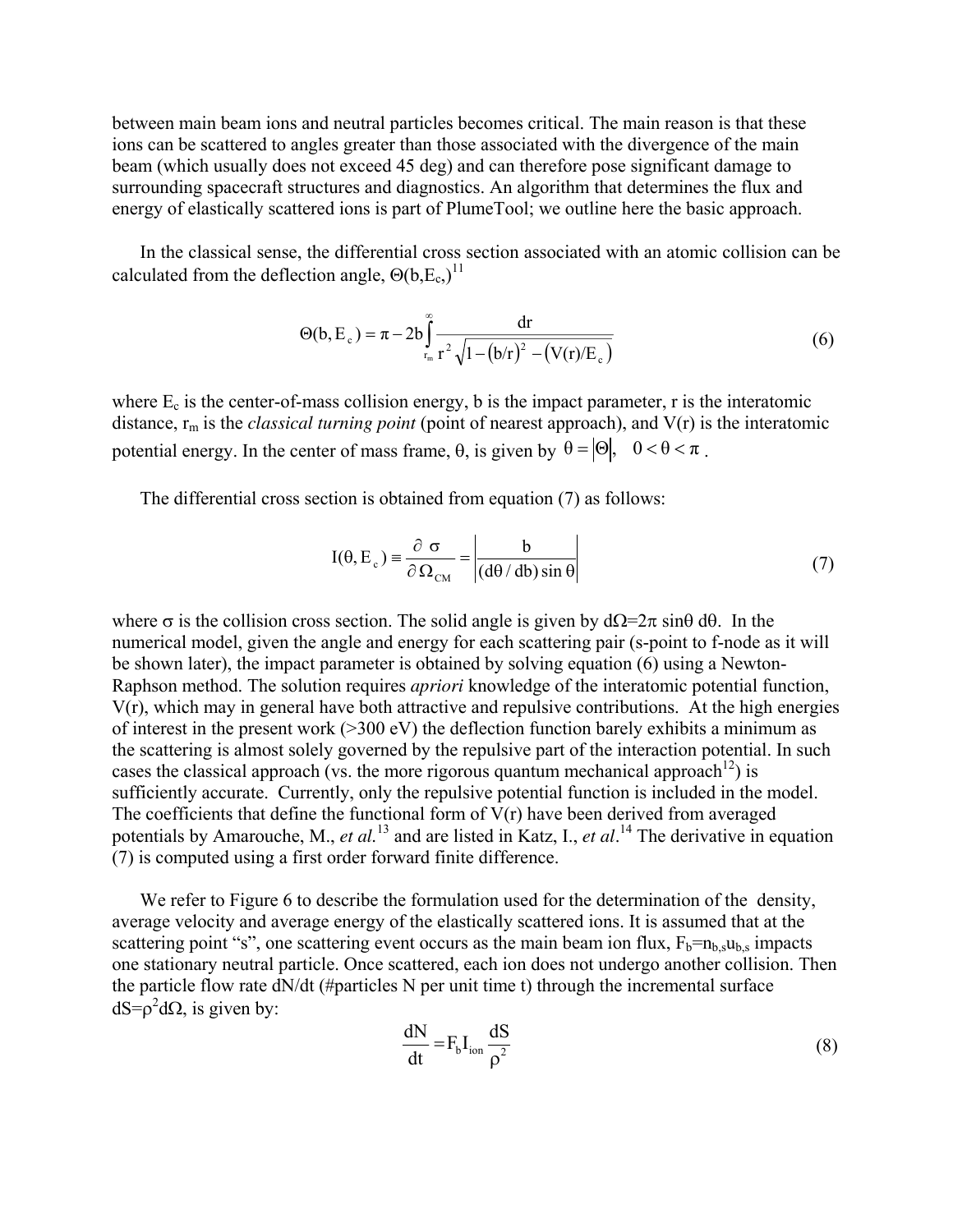between main beam ions and neutral particles becomes critical. The main reason is that these ions can be scattered to angles greater than those associated with the divergence of the main beam (which usually does not exceed 45 deg) and can therefore pose significant damage to surrounding spacecraft structures and diagnostics. An algorithm that determines the flux and energy of elastically scattered ions is part of PlumeTool; we outline here the basic approach.

In the classical sense, the differential cross section associated with an atomic collision can be calculated from the deflection angle,  $\Theta(b,E_c)^{11}$  $\Theta(b,E_c)^{11}$  $\Theta(b,E_c)^{11}$ 

$$
\Theta(b, E_c) = \pi - 2b \int_{r_m}^{\infty} \frac{dr}{r^2 \sqrt{1 - (b/r)^2 - (V(r)/E_c)}}
$$
(6)

where  $E_c$  is the center-of-mass collision energy, b is the impact parameter, r is the interatomic distance, rm is the *classical turning point* (point of nearest approach), and V(r) is the interatomic potential energy. In the center of mass frame,  $\theta$ , is given by  $\theta = |\Theta|$ ,  $0 < \theta < \pi$ .

The differential cross section is obtained from equation (7) as follows:

$$
I(\theta, E_c) = \frac{\partial \sigma}{\partial \Omega_{CM}} = \left| \frac{b}{(d\theta / db)\sin \theta} \right| \tag{7}
$$

where  $\sigma$  is the collision cross section. The solid angle is given by  $d\Omega = 2\pi \sin\theta d\theta$ . In the numerical model, given the angle and energy for each scattering pair (s-point to f-node as it will be shown later), the impact parameter is obtained by solving equation (6) using a Newton-Raphson method. The solution requires *apriori* knowledge of the interatomic potential function, V(r), which may in general have both attractive and repulsive contributions. At the high energies of interest in the present work  $(>=300 \text{ eV})$  the deflection function barely exhibits a minimum as the scattering is almost solely governed by the repulsive part of the interaction potential. In such cases the classical approach (vs. the more rigorous quantum mechanical approach<sup>12</sup>) is sufficiently accurate. Currently, only the repulsive potential function is included in the model. The coefficients that define the functional form of  $V(r)$  have been derived from averaged potentials by Amarouche, M., *et al.*<sup>13</sup> and are listed in Katz, I., *et al.*<sup>14</sup> The derivative in equation (7) is computed using a first order forward finite difference.

We refer to [Figure 6](#page-10-0) to describe the formulation used for the determination of the density, average velocity and average energy of the elastically scattered ions. It is assumed that at the scattering point "s", one scattering event occurs as the main beam ion flux,  $F_b=n_b$ , sub, s impacts one stationary neutral particle. Once scattered, each ion does not undergo another collision. Then the particle flow rate dN/dt (#particles N per unit time t) through the incremental surface  $dS = \rho^2 d\Omega$ , is given by:

$$
\frac{dN}{dt} = F_b I_{ion} \frac{dS}{\rho^2}
$$
 (8)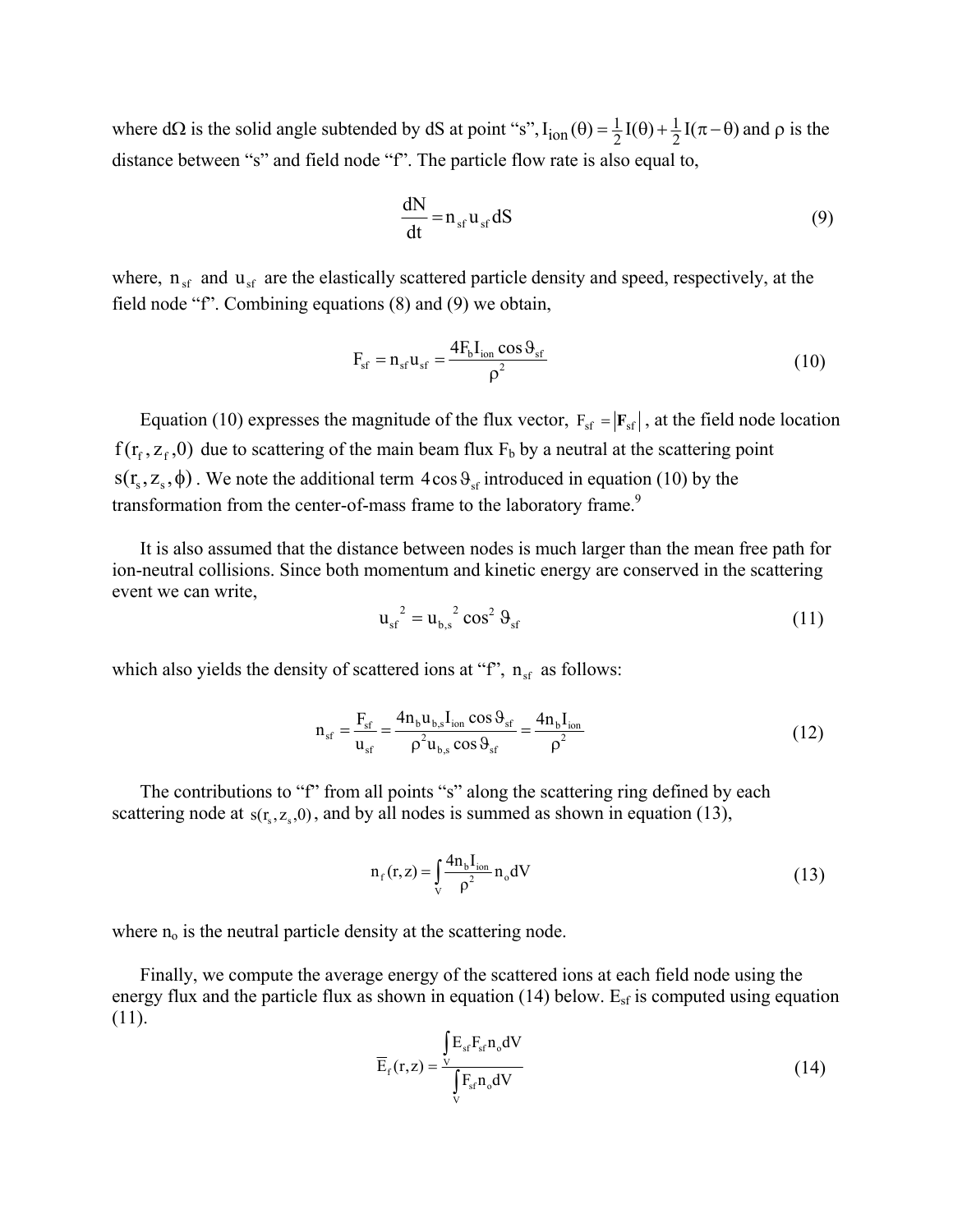where d $\Omega$  is the solid angle subtended by dS at point "s",  $I_{ion}(\theta) = \frac{1}{2}I(\theta) + \frac{1}{2}I(\pi - \theta)$  and  $\rho$  is the distance between "s" and field node "f". The particle flow rate is also equal to,

$$
\frac{dN}{dt} = n_{sf} u_{sf} dS
$$
 (9)

where,  $n_{sf}$  and  $u_{sf}$  are the elastically scattered particle density and speed, respectively, at the field node "f". Combining equations (8) and (9) we obtain,

$$
F_{sf} = n_{sf} u_{sf} = \frac{4F_b I_{ion} \cos \theta_{sf}}{\rho^2}
$$
 (10)

Equation (10) expresses the magnitude of the flux vector,  $F_{sf} = |F_{sf}|$ , at the field node location  $f(r_f, z_f, 0)$  due to scattering of the main beam flux  $F_b$  by a neutral at the scattering point  $s(r<sub>s</sub>, z<sub>s</sub>, \phi)$ . We note the additional term  $4\cos\theta_{sf}$  introduced in equation (10) by the transformation from the center-of-mass frame to the laboratory frame.<sup>9</sup>

It is also assumed that the distance between nodes is much larger than the mean free path for ion-neutral collisions. Since both momentum and kinetic energy are conserved in the scattering event we can write,

$$
u_{sf}^{2} = u_{b,s}^{2} \cos^{2} \theta_{sf}
$$
 (11)

which also yields the density of scattered ions at "f",  $n_{sf}$  as follows:

$$
n_{sf} = \frac{F_{sf}}{u_{sf}} = \frac{4n_b u_{b,s} I_{ion} \cos \theta_{sf}}{\rho^2 u_{b,s} \cos \theta_{sf}} = \frac{4n_b I_{ion}}{\rho^2}
$$
(12)

The contributions to "f" from all points "s" along the scattering ring defined by each scattering node at  $s(r_s, z_s, 0)$ , and by all nodes is summed as shown in equation (13),

$$
n_{f}(r,z) = \int_{V} \frac{4n_{b}I_{ion}}{\rho^{2}} n_{o} dV
$$
 (13)

where  $n_0$  is the neutral particle density at the scattering node.

Finally, we compute the average energy of the scattered ions at each field node using the energy flux and the particle flux as shown in equation  $(14)$  below. E<sub>sf</sub> is computed using equation (11).

$$
\overline{E}_f(r,z) = \frac{\int_{V} E_{sf} F_{sf} n_o dV}{\int_{V} F_{sf} n_o dV}
$$
\n(14)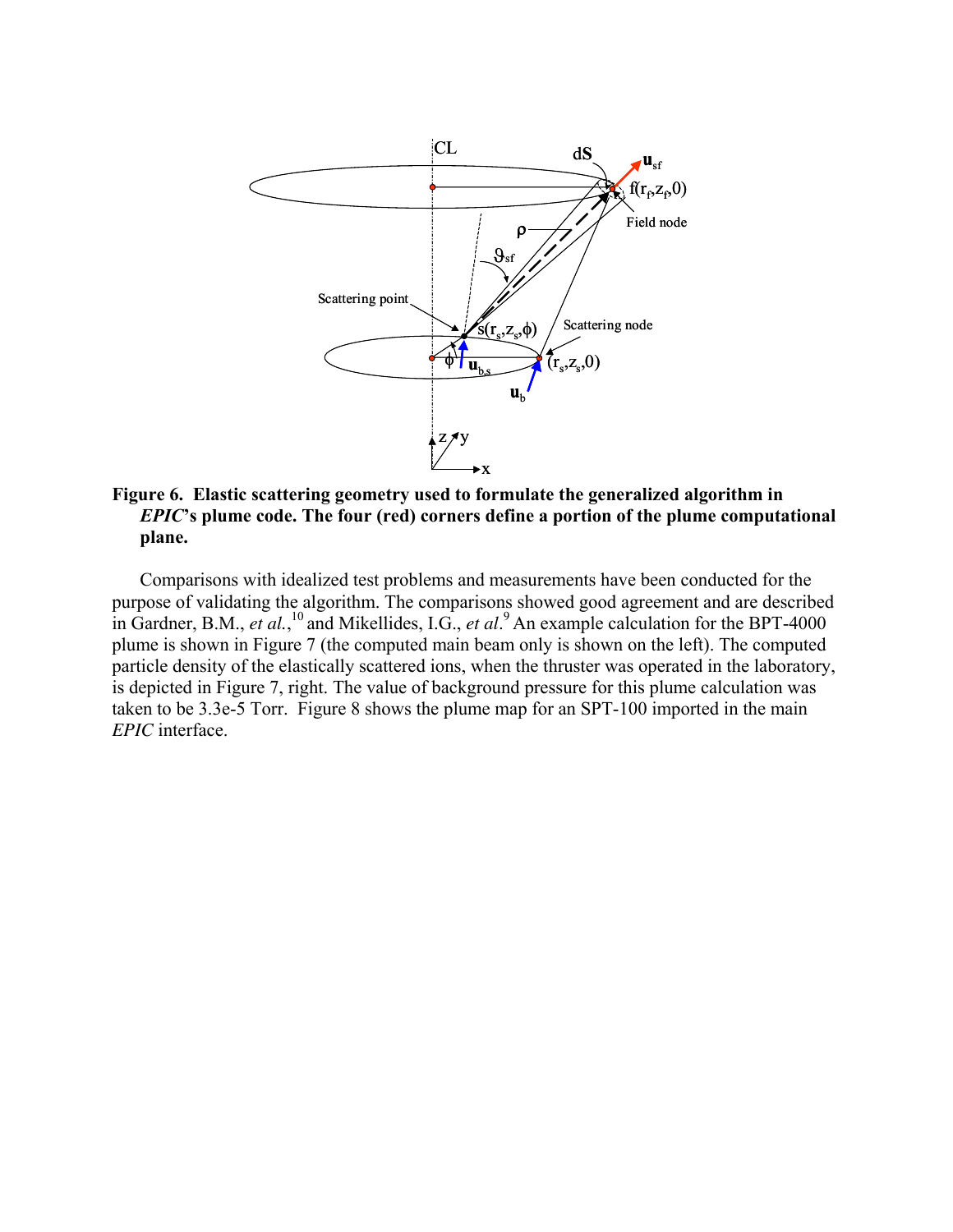<span id="page-10-0"></span>

# **Figure 6. Elastic scattering geometry used to formulate the generalized algorithm in**  *EPIC***'s plume code. The four (red) corners define a portion of the plume computational plane.**

Comparisons with idealized test problems and measurements have been conducted for the purpose of validating the algorithm. The comparisons showed good agreement and are described in Gardner, B.M., *et al.*, [10 a](#page-3-0)nd Mikellides, I.G., *et al*. [9 A](#page-3-2)n example calculation for the BPT-4000 plume is shown in Figure 7 (the computed main beam only is shown on the left). The computed particle density of the elastically scattered ions, when the thruster was operated in the laboratory, is depicted in Figure 7, right. The value of background pressure for this plume calculation was taken to be 3.3e-5 Torr. Figure 8 shows the plume map for an SPT-100 imported in the main *EPIC* interface.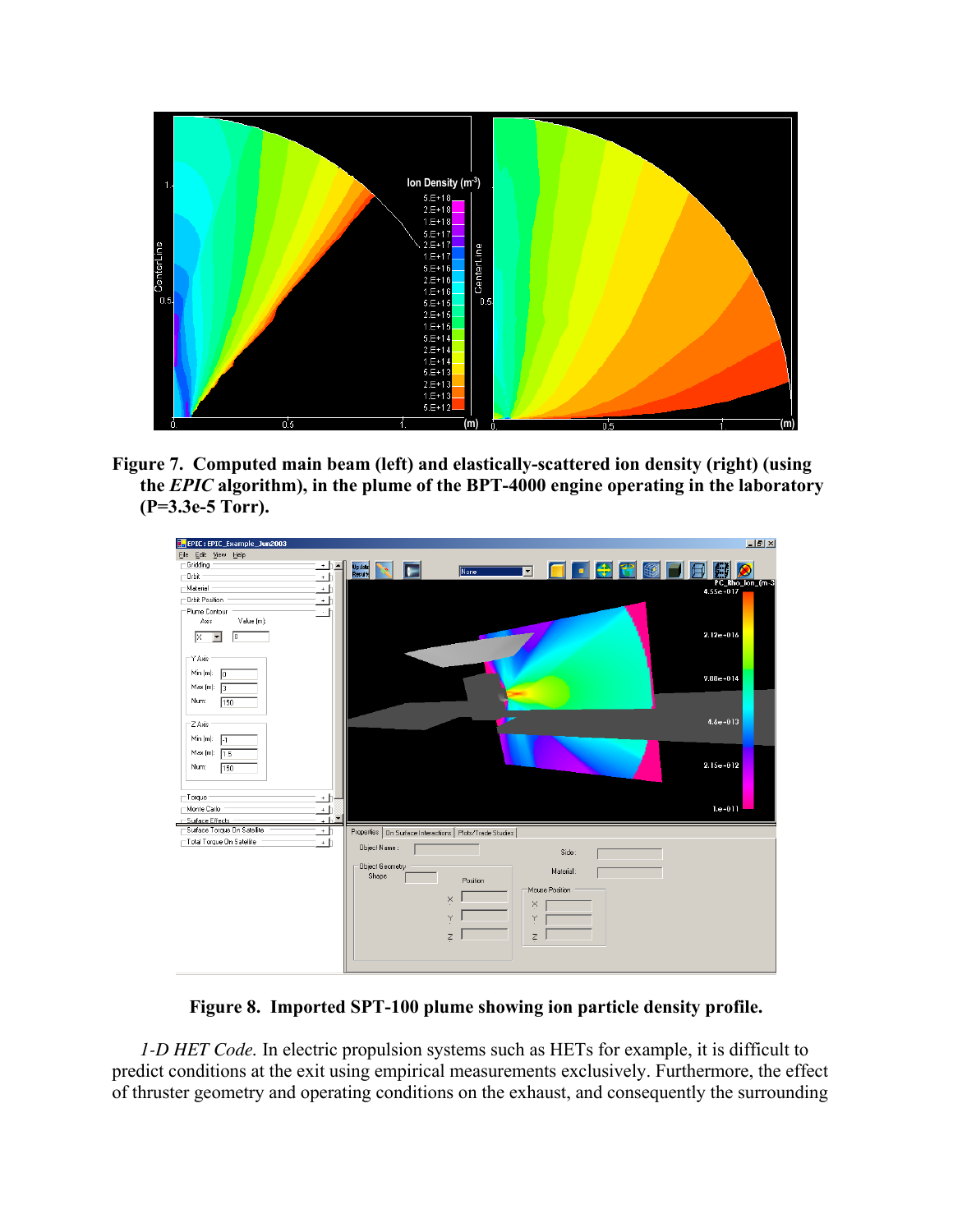

**Figure 7. Computed main beam (left) and elastically-scattered ion density (right) (using the** *EPIC* **algorithm), in the plume of the BPT-4000 engine operating in the laboratory (P=3.3e-5 Torr).** 



**Figure 8. Imported SPT-100 plume showing ion particle density profile.**

*1-D HET Code.* In electric propulsion systems such as HETs for example, it is difficult to predict conditions at the exit using empirical measurements exclusively. Furthermore, the effect of thruster geometry and operating conditions on the exhaust, and consequently the surrounding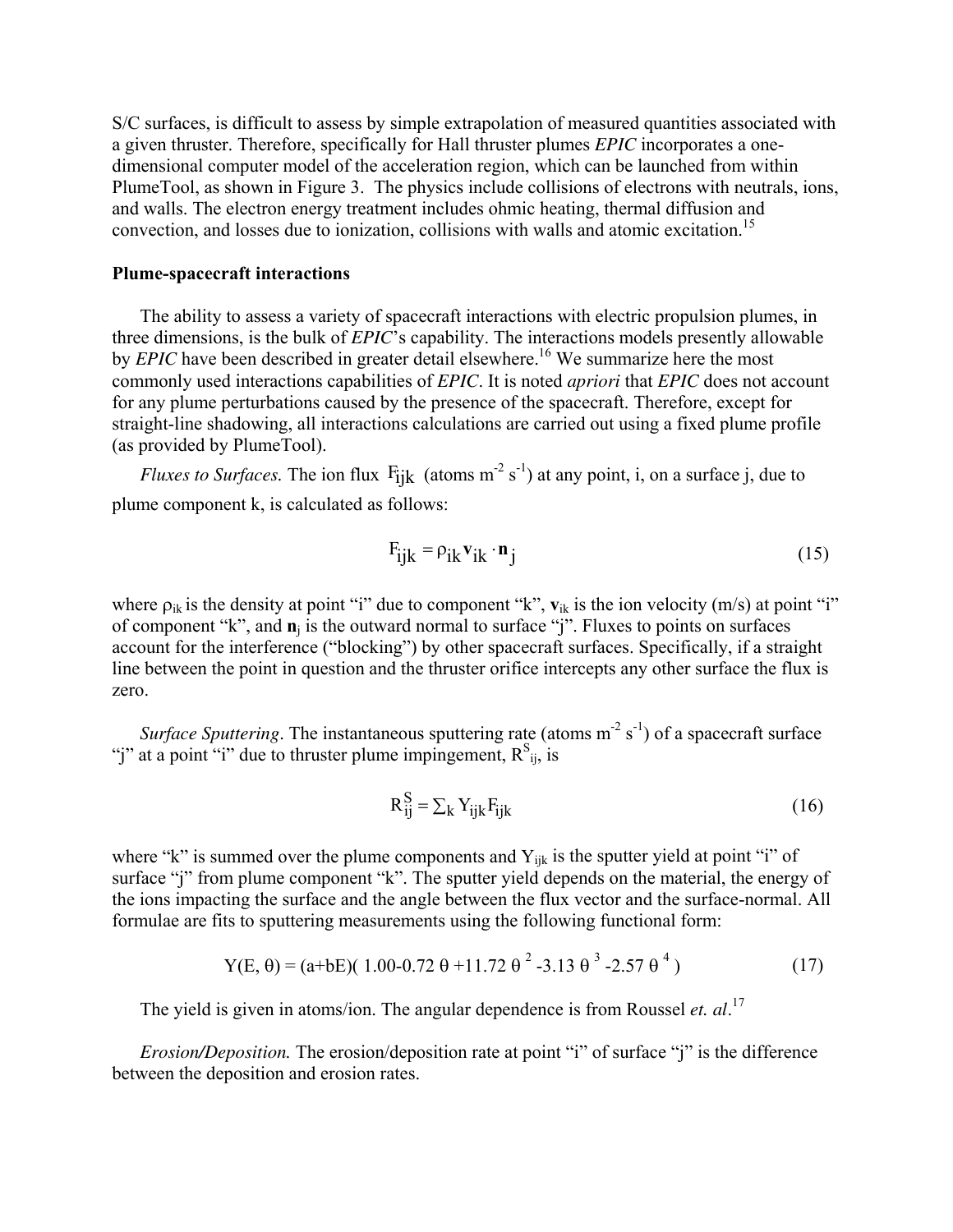S/C surfaces, is difficult to assess by simple extrapolation of measured quantities associated with a given thruster. Therefore, specifically for Hall thruster plumes *EPIC* incorporates a onedimensional computer model of the acceleration region, which can be launched from within PlumeTool, as shown in Figure 3. The physics include collisions of electrons with neutrals, ions, and walls. The electron energy treatment includes ohmic heating, thermal diffusion and convection, and losses due to ionization, collisions with walls and atomic excitation.<sup>15</sup>

#### **Plume-spacecraft interactions**

The ability to assess a variety of spacecraft interactions with electric propulsion plumes, in three dimensions, is the bulk of *EPIC*'s capability. The interactions models presently allowable by *EPIC* have been described in greater detail elsewhere.<sup>16</sup> We summarize here the most commonly used interactions capabilities of *EPIC*. It is noted *apriori* that *EPIC* does not account for any plume perturbations caused by the presence of the spacecraft. Therefore, except for straight-line shadowing, all interactions calculations are carried out using a fixed plume profile (as provided by PlumeTool).

*Fluxes to Surfaces.* The ion flux  $F_{ijk}$  (atoms  $m^{-2} s^{-1}$ ) at any point, i, on a surface j, due to plume component k, is calculated as follows:

$$
F_{ijk} = \rho_{ik} \mathbf{v}_{ik} \cdot \mathbf{n}_j \tag{15}
$$

where  $\rho_{ik}$  is the density at point "i" due to component "k",  $\mathbf{v}_{ik}$  is the ion velocity (m/s) at point "i" of component "k", and **n**j is the outward normal to surface "j". Fluxes to points on surfaces account for the interference ("blocking") by other spacecraft surfaces. Specifically, if a straight line between the point in question and the thruster orifice intercepts any other surface the flux is zero.

*Surface Sputtering*. The instantaneous sputtering rate (atoms m<sup>-2</sup> s<sup>-1</sup>) of a spacecraft surface "j" at a point "i" due to thruster plume impingement,  $R_{ij}^s$ , is

$$
R_{ij}^{S} = \sum_{k} Y_{ijk} F_{ijk}
$$
 (16)

where "k" is summed over the plume components and  $Y_{ijk}$  is the sputter yield at point "i" of surface "j" from plume component "k". The sputter yield depends on the material, the energy of the ions impacting the surface and the angle between the flux vector and the surface-normal. All formulae are fits to sputtering measurements using the following functional form:

Y(E, 
$$
\theta
$$
) = (a+bE)(1.00-0.72  $\theta$  +11.72  $\theta$ <sup>2</sup> -3.13  $\theta$ <sup>3</sup> -2.57  $\theta$ <sup>4</sup>) (17)

The yield is given in atoms/ion. The angular dependence is from Roussel *et. al*. [17](#page-18-12) 

*Erosion/Deposition.* The erosion/deposition rate at point "i" of surface "j" is the difference between the deposition and erosion rates.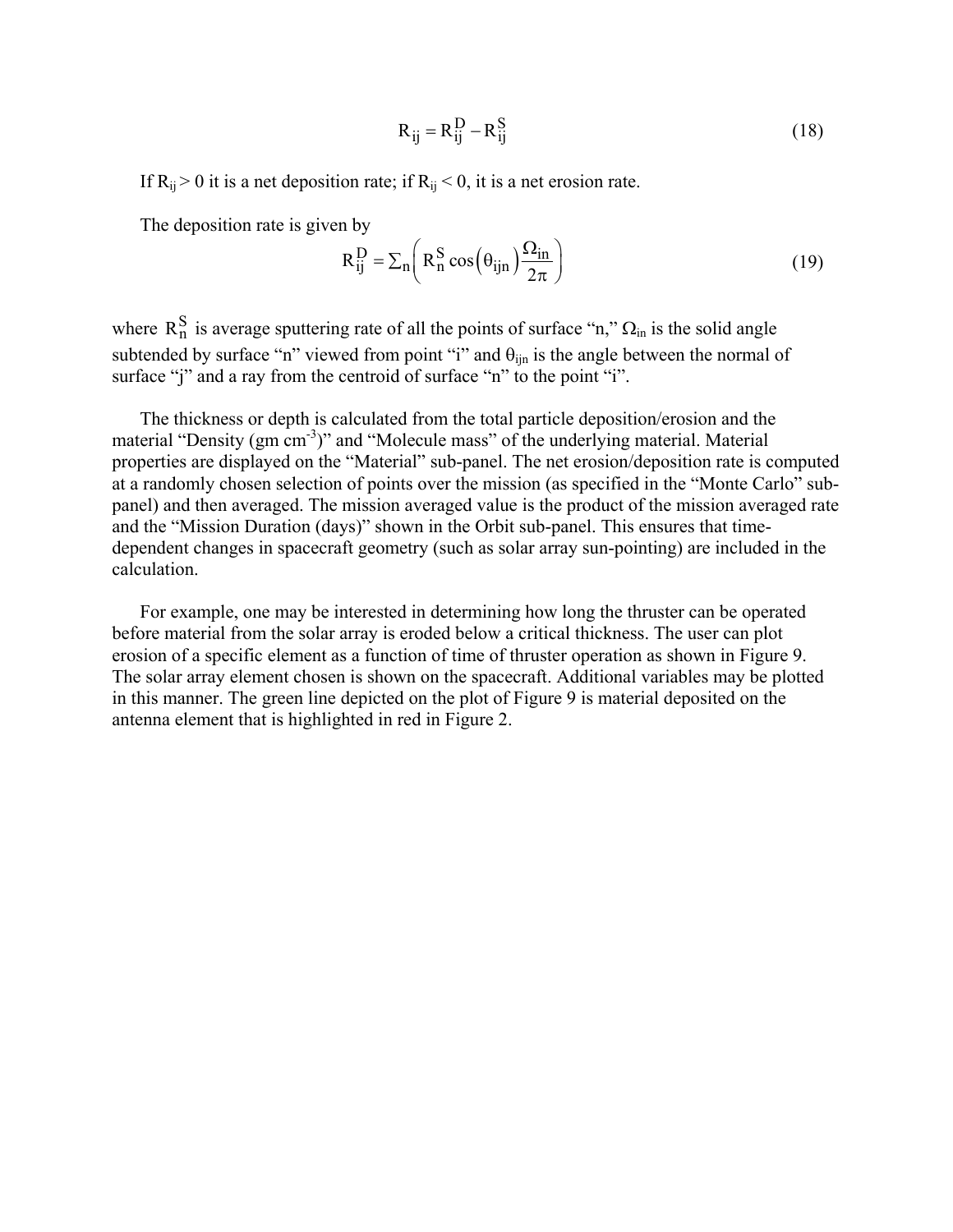$$
R_{ij} = R_{ij}^D - R_{ij}^S
$$
 (18)

If  $R_{ij} > 0$  it is a net deposition rate; if  $R_{ij} < 0$ , it is a net erosion rate.

The deposition rate is given by

$$
R_{ij}^{D} = \sum_{n} \left( R_{n}^{S} \cos \left( \theta_{ijn} \right) \frac{\Omega_{in}}{2\pi} \right)
$$
 (19)

where  $R_n^S$  is average sputtering rate of all the points of surface "n,"  $\Omega_{\text{in}}$  is the solid angle subtended by surface "n" viewed from point "i" and  $\theta_{\text{lin}}$  is the angle between the normal of surface "j" and a ray from the centroid of surface "n" to the point "i".

The thickness or depth is calculated from the total particle deposition/erosion and the material "Density (gm cm-3)" and "Molecule mass" of the underlying material. Material properties are displayed on the "Material" sub-panel. The net erosion/deposition rate is computed at a randomly chosen selection of points over the mission (as specified in the "Monte Carlo" subpanel) and then averaged. The mission averaged value is the product of the mission averaged rate and the "Mission Duration (days)" shown in the Orbit sub-panel. This ensures that timedependent changes in spacecraft geometry (such as solar array sun-pointing) are included in the calculation.

For example, one may be interested in determining how long the thruster can be operated before material from the solar array is eroded below a critical thickness. The user can plot erosion of a specific element as a function of time of thruster operation as shown in Figure 9. The solar array element chosen is shown on the spacecraft. Additional variables may be plotted in this manner. The green line depicted on the plot of Figure 9 is material deposited on the antenna element that is highlighted in red in Figure 2.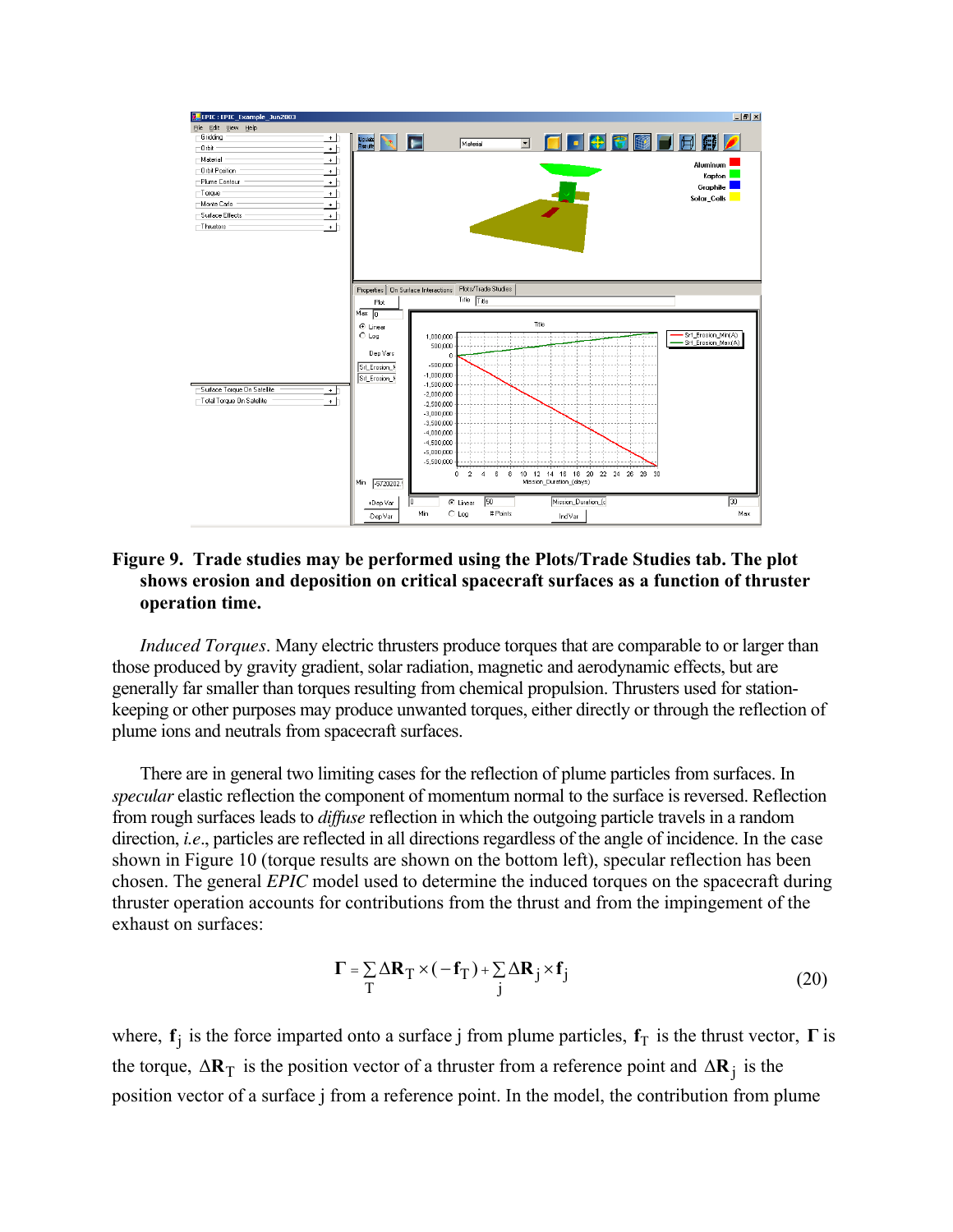

## **Figure 9. Trade studies may be performed using the Plots/Trade Studies tab. The plot shows erosion and deposition on critical spacecraft surfaces as a function of thruster operation time.**

*Induced Torques*. Many electric thrusters produce torques that are comparable to or larger than those produced by gravity gradient, solar radiation, magnetic and aerodynamic effects, but are generally far smaller than torques resulting from chemical propulsion. Thrusters used for stationkeeping or other purposes may produce unwanted torques, either directly or through the reflection of plume ions and neutrals from spacecraft surfaces.

There are in general two limiting cases for the reflection of plume particles from surfaces. In *specular* elastic reflection the component of momentum normal to the surface is reversed. Reflection from rough surfaces leads to *diffuse* reflection in which the outgoing particle travels in a random direction, *i.e*., particles are reflected in all directions regardless of the angle of incidence. In the case shown in [Figure 10](#page-15-0) (torque results are shown on the bottom left), specular reflection has been chosen. The general *EPIC* model used to determine the induced torques on the spacecraft during thruster operation accounts for contributions from the thrust and from the impingement of the exhaust on surfaces:

$$
\Gamma = \sum_{T} \Delta \mathbf{R}_{T} \times (-\mathbf{f}_{T}) + \sum_{j} \Delta \mathbf{R}_{j} \times \mathbf{f}_{j}
$$
(20)

where,  $f_j$  is the force imparted onto a surface j from plume particles,  $f_T$  is the thrust vector,  $\Gamma$  is the torque,  $\Delta \mathbf{R}_T$  is the position vector of a thruster from a reference point and  $\Delta \mathbf{R}_j$  is the position vector of a surface j from a reference point. In the model, the contribution from plume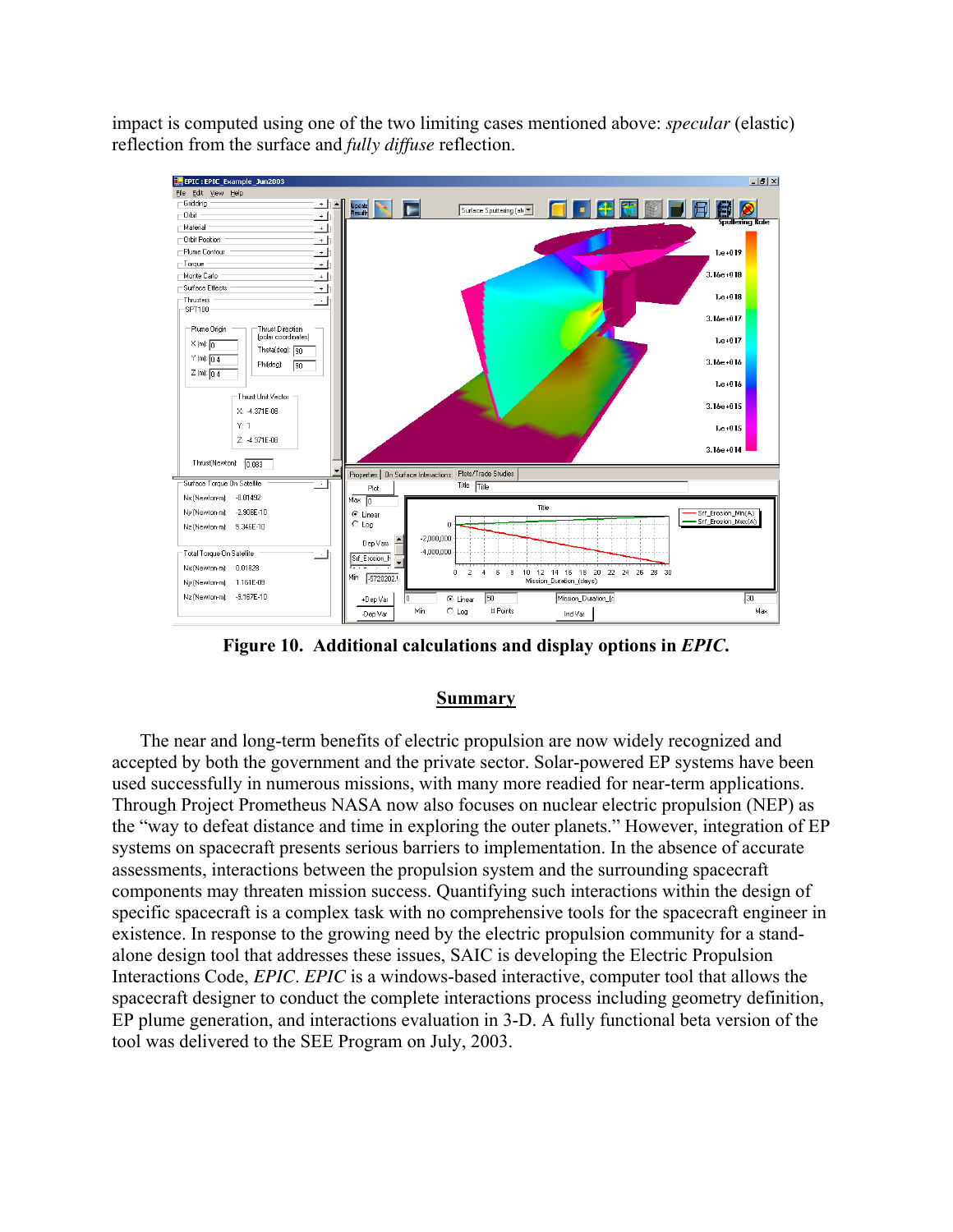impact is computed using one of the two limiting cases mentioned above: *specular* (elastic) reflection from the surface and *fully diffuse* reflection.

<span id="page-15-0"></span>

**Figure 10. Additional calculations and display options in** *EPIC***.** 

### **Summary**

The near and long-term benefits of electric propulsion are now widely recognized and accepted by both the government and the private sector. Solar-powered EP systems have been used successfully in numerous missions, with many more readied for near-term applications. Through Project Prometheus NASA now also focuses on nuclear electric propulsion (NEP) as the "way to defeat distance and time in exploring the outer planets." However, integration of EP systems on spacecraft presents serious barriers to implementation. In the absence of accurate assessments, interactions between the propulsion system and the surrounding spacecraft components may threaten mission success. Quantifying such interactions within the design of specific spacecraft is a complex task with no comprehensive tools for the spacecraft engineer in existence. In response to the growing need by the electric propulsion community for a standalone design tool that addresses these issues, SAIC is developing the Electric Propulsion Interactions Code, *EPIC*. *EPIC* is a windows-based interactive, computer tool that allows the spacecraft designer to conduct the complete interactions process including geometry definition, EP plume generation, and interactions evaluation in 3-D. A fully functional beta version of the tool was delivered to the SEE Program on July, 2003.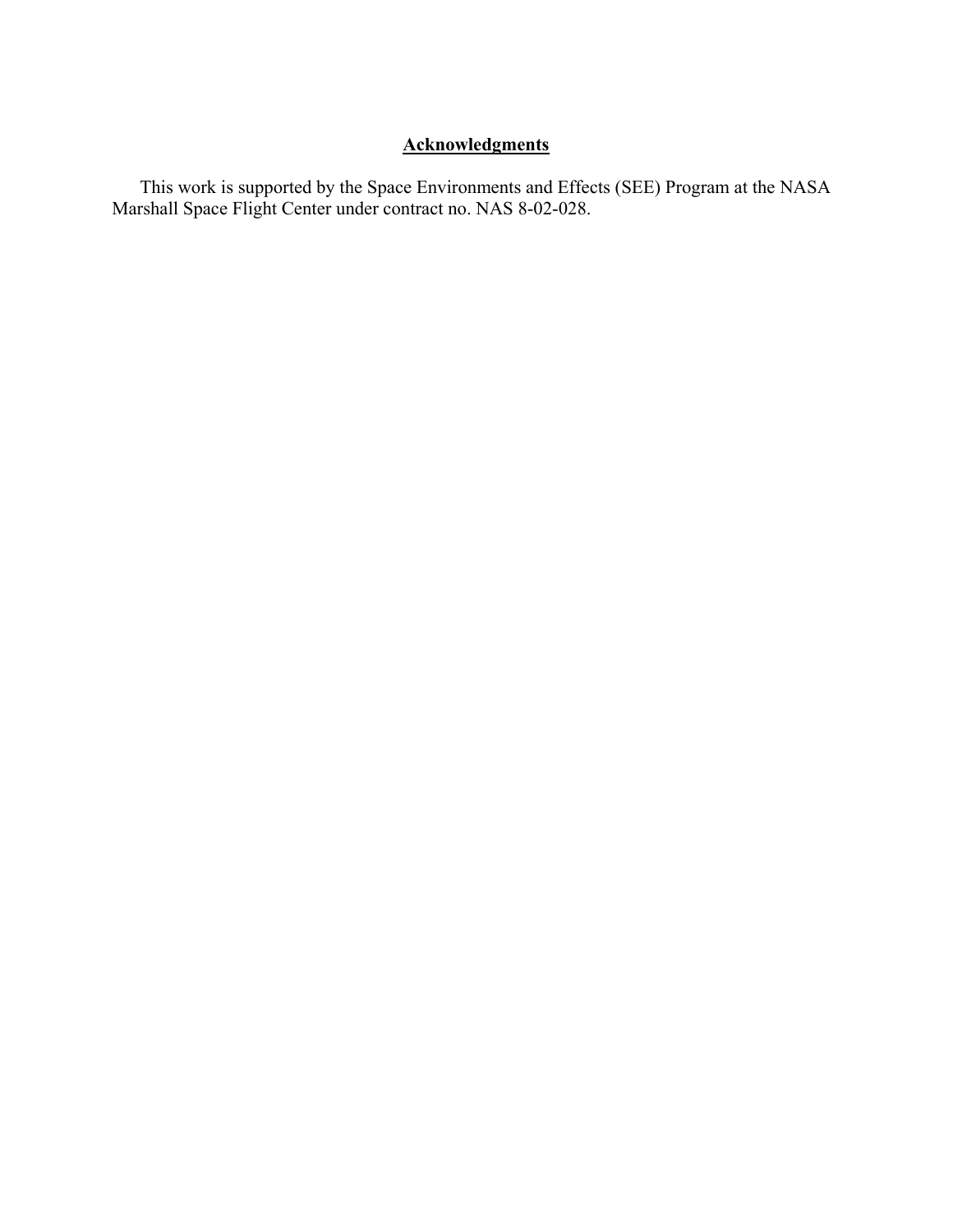# **Acknowledgments**

This work is supported by the Space Environments and Effects (SEE) Program at the NASA Marshall Space Flight Center under contract no. NAS 8-02-028.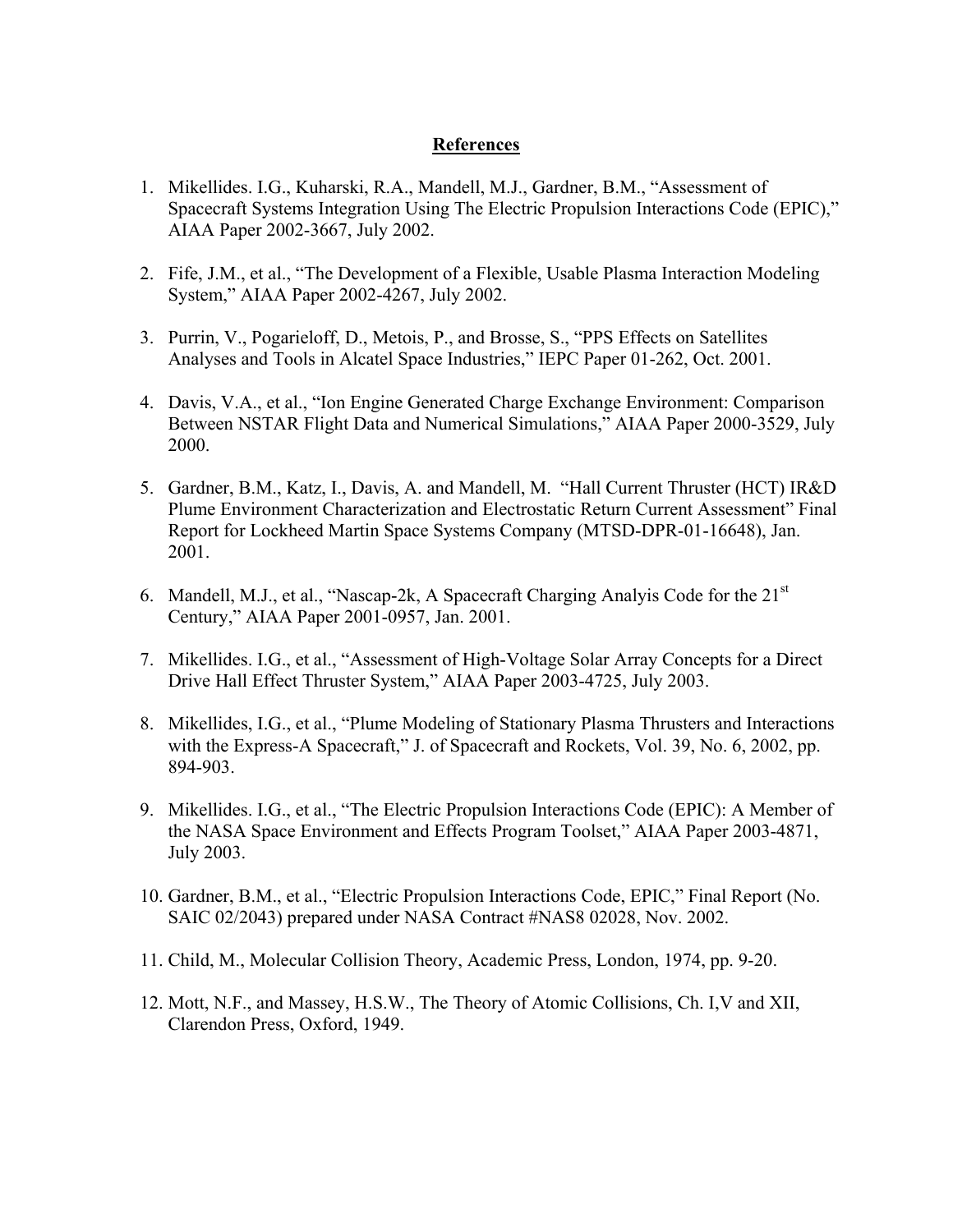## **References**

- 1. Mikellides. I.G., Kuharski, R.A., Mandell, M.J., Gardner, B.M., "Assessment of Spacecraft Systems Integration Using The Electric Propulsion Interactions Code (EPIC)," AIAA Paper 2002-3667, July 2002.
- 2. Fife, J.M., et al., "The Development of a Flexible, Usable Plasma Interaction Modeling System," AIAA Paper 2002-4267, July 2002.
- 3. Purrin, V., Pogarieloff, D., Metois, P., and Brosse, S., "PPS Effects on Satellites Analyses and Tools in Alcatel Space Industries," IEPC Paper 01-262, Oct. 2001.
- 4. Davis, V.A., et al., "Ion Engine Generated Charge Exchange Environment: Comparison Between NSTAR Flight Data and Numerical Simulations," AIAA Paper 2000-3529, July 2000.
- 5. Gardner, B.M., Katz, I., Davis, A. and Mandell, M. "Hall Current Thruster (HCT) IR&D Plume Environment Characterization and Electrostatic Return Current Assessment" Final Report for Lockheed Martin Space Systems Company (MTSD-DPR-01-16648), Jan. 2001.
- 6. Mandell, M.J., et al., "Nascap-2k, A Spacecraft Charging Analyis Code for the  $21<sup>st</sup>$ Century," AIAA Paper 2001-0957, Jan. 2001.
- 7. Mikellides. I.G., et al., "Assessment of High-Voltage Solar Array Concepts for a Direct Drive Hall Effect Thruster System," AIAA Paper 2003-4725, July 2003.
- 8. Mikellides, I.G., et al., "Plume Modeling of Stationary Plasma Thrusters and Interactions with the Express-A Spacecraft," J. of Spacecraft and Rockets, Vol. 39, No. 6, 2002, pp. 894-903.
- 9. Mikellides. I.G., et al., "The Electric Propulsion Interactions Code (EPIC): A Member of the NASA Space Environment and Effects Program Toolset," AIAA Paper 2003-4871, July 2003.
- 10. Gardner, B.M., et al., "Electric Propulsion Interactions Code, EPIC," Final Report (No. SAIC 02/2043) prepared under NASA Contract #NAS8 02028, Nov. 2002.
- 11. Child, M., Molecular Collision Theory, Academic Press, London, 1974, pp. 9-20.
- 12. Mott, N.F., and Massey, H.S.W., The Theory of Atomic Collisions, Ch. I,V and XII, Clarendon Press, Oxford, 1949.